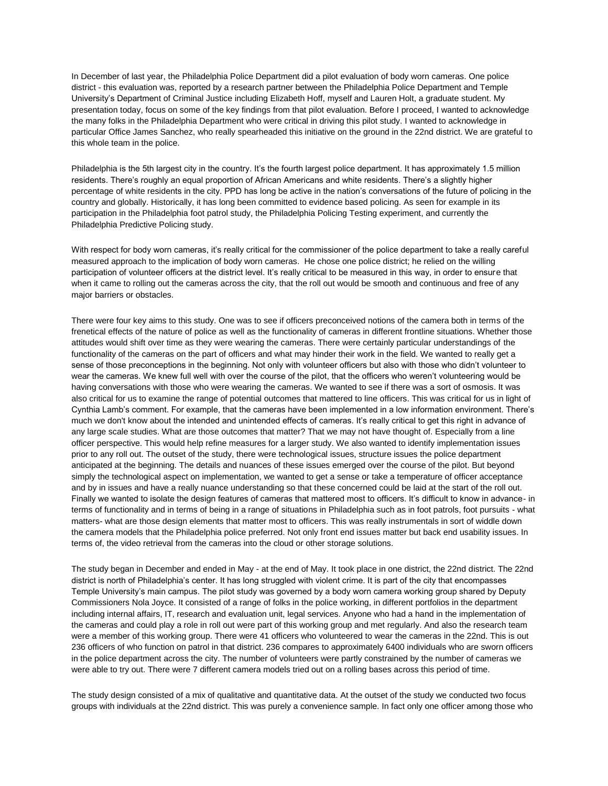In December of last year, the Philadelphia Police Department did a pilot evaluation of body worn cameras. One police district - this evaluation was, reported by a research partner between the Philadelphia Police Department and Temple University's Department of Criminal Justice including Elizabeth Hoff, myself and Lauren Holt, a graduate student. My presentation today, focus on some of the key findings from that pilot evaluation. Before I proceed, I wanted to acknowledge the many folks in the Philadelphia Department who were critical in driving this pilot study. I wanted to acknowledge in particular Office James Sanchez, who really spearheaded this initiative on the ground in the 22nd district. We are grateful to this whole team in the police.

Philadelphia is the 5th largest city in the country. It's the fourth largest police department. It has approximately 1.5 million residents. There's roughly an equal proportion of African Americans and white residents. There's a slightly higher percentage of white residents in the city. PPD has long be active in the nation's conversations of the future of policing in the country and globally. Historically, it has long been committed to evidence based policing. As seen for example in its participation in the Philadelphia foot patrol study, the Philadelphia Policing Testing experiment, and currently the Philadelphia Predictive Policing study.

With respect for body worn cameras, it's really critical for the commissioner of the police department to take a really careful measured approach to the implication of body worn cameras. He chose one police district; he relied on the willing participation of volunteer officers at the district level. It's really critical to be measured in this way, in order to ensure that when it came to rolling out the cameras across the city, that the roll out would be smooth and continuous and free of any major barriers or obstacles.

There were four key aims to this study. One was to see if officers preconceived notions of the camera both in terms of the frenetical effects of the nature of police as well as the functionality of cameras in different frontline situations. Whether those attitudes would shift over time as they were wearing the cameras. There were certainly particular understandings of the functionality of the cameras on the part of officers and what may hinder their work in the field. We wanted to really get a sense of those preconceptions in the beginning. Not only with volunteer officers but also with those who didn't volunteer to wear the cameras. We knew full well with over the course of the pilot, that the officers who weren't volunteering would be having conversations with those who were wearing the cameras. We wanted to see if there was a sort of osmosis. It was also critical for us to examine the range of potential outcomes that mattered to line officers. This was critical for us in light of Cynthia Lamb's comment. For example, that the cameras have been implemented in a low information environment. There's much we don't know about the intended and unintended effects of cameras. It's really critical to get this right in advance of any large scale studies. What are those outcomes that matter? That we may not have thought of. Especially from a line officer perspective. This would help refine measures for a larger study. We also wanted to identify implementation issues prior to any roll out. The outset of the study, there were technological issues, structure issues the police department anticipated at the beginning. The details and nuances of these issues emerged over the course of the pilot. But beyond simply the technological aspect on implementation, we wanted to get a sense or take a temperature of officer acceptance and by in issues and have a really nuance understanding so that these concerned could be laid at the start of the roll out. Finally we wanted to isolate the design features of cameras that mattered most to officers. It's difficult to know in advance- in terms of functionality and in terms of being in a range of situations in Philadelphia such as in foot patrols, foot pursuits - what matters- what are those design elements that matter most to officers. This was really instrumentals in sort of widdle down the camera models that the Philadelphia police preferred. Not only front end issues matter but back end usability issues. In terms of, the video retrieval from the cameras into the cloud or other storage solutions.

The study began in December and ended in May - at the end of May. It took place in one district, the 22nd district. The 22nd district is north of Philadelphia's center. It has long struggled with violent crime. It is part of the city that encompasses Temple University's main campus. The pilot study was governed by a body worn camera working group shared by Deputy Commissioners Nola Joyce. It consisted of a range of folks in the police working, in different portfolios in the department including internal affairs, IT, research and evaluation unit, legal services. Anyone who had a hand in the implementation of the cameras and could play a role in roll out were part of this working group and met regularly. And also the research team were a member of this working group. There were 41 officers who volunteered to wear the cameras in the 22nd. This is out 236 officers of who function on patrol in that district. 236 compares to approximately 6400 individuals who are sworn officers in the police department across the city. The number of volunteers were partly constrained by the number of cameras we were able to try out. There were 7 different camera models tried out on a rolling bases across this period of time.

The study design consisted of a mix of qualitative and quantitative data. At the outset of the study we conducted two focus groups with individuals at the 22nd district. This was purely a convenience sample. In fact only one officer among those who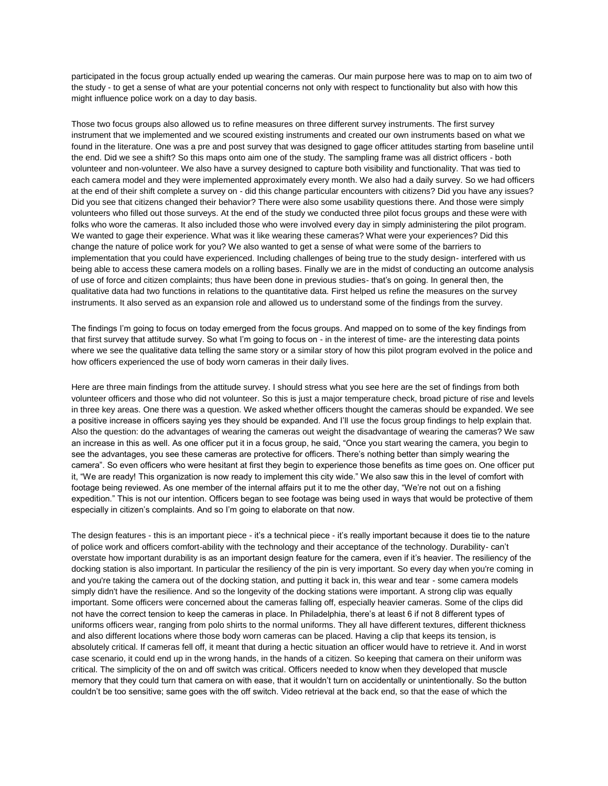participated in the focus group actually ended up wearing the cameras. Our main purpose here was to map on to aim two of the study - to get a sense of what are your potential concerns not only with respect to functionality but also with how this might influence police work on a day to day basis.

Those two focus groups also allowed us to refine measures on three different survey instruments. The first survey instrument that we implemented and we scoured existing instruments and created our own instruments based on what we found in the literature. One was a pre and post survey that was designed to gage officer attitudes starting from baseline until the end. Did we see a shift? So this maps onto aim one of the study. The sampling frame was all district officers - both volunteer and non-volunteer. We also have a survey designed to capture both visibility and functionality. That was tied to each camera model and they were implemented approximately every month. We also had a daily survey. So we had officers at the end of their shift complete a survey on - did this change particular encounters with citizens? Did you have any issues? Did you see that citizens changed their behavior? There were also some usability questions there. And those were simply volunteers who filled out those surveys. At the end of the study we conducted three pilot focus groups and these were with folks who wore the cameras. It also included those who were involved every day in simply administering the pilot program. We wanted to gage their experience. What was it like wearing these cameras? What were your experiences? Did this change the nature of police work for you? We also wanted to get a sense of what were some of the barriers to implementation that you could have experienced. Including challenges of being true to the study design- interfered with us being able to access these camera models on a rolling bases. Finally we are in the midst of conducting an outcome analysis of use of force and citizen complaints; thus have been done in previous studies- that's on going. In general then, the qualitative data had two functions in relations to the quantitative data. First helped us refine the measures on the survey instruments. It also served as an expansion role and allowed us to understand some of the findings from the survey.

The findings I'm going to focus on today emerged from the focus groups. And mapped on to some of the key findings from that first survey that attitude survey. So what I'm going to focus on - in the interest of time- are the interesting data points where we see the qualitative data telling the same story or a similar story of how this pilot program evolved in the police and how officers experienced the use of body worn cameras in their daily lives.

Here are three main findings from the attitude survey. I should stress what you see here are the set of findings from both volunteer officers and those who did not volunteer. So this is just a major temperature check, broad picture of rise and levels in three key areas. One there was a question. We asked whether officers thought the cameras should be expanded. We see a positive increase in officers saying yes they should be expanded. And I'll use the focus group findings to help explain that. Also the question: do the advantages of wearing the cameras out weight the disadvantage of wearing the cameras? We saw an increase in this as well. As one officer put it in a focus group, he said, "Once you start wearing the camera, you begin to see the advantages, you see these cameras are protective for officers. There's nothing better than simply wearing the camera". So even officers who were hesitant at first they begin to experience those benefits as time goes on. One officer put it, "We are ready! This organization is now ready to implement this city wide." We also saw this in the level of comfort with footage being reviewed. As one member of the internal affairs put it to me the other day, "We're not out on a fishing expedition." This is not our intention. Officers began to see footage was being used in ways that would be protective of them especially in citizen's complaints. And so I'm going to elaborate on that now.

The design features - this is an important piece - it's a technical piece - it's really important because it does tie to the nature of police work and officers comfort-ability with the technology and their acceptance of the technology. Durability- can't overstate how important durability is as an important design feature for the camera, even if it's heavier. The resiliency of the docking station is also important. In particular the resiliency of the pin is very important. So every day when you're coming in and you're taking the camera out of the docking station, and putting it back in, this wear and tear - some camera models simply didn't have the resilience. And so the longevity of the docking stations were important. A strong clip was equally important. Some officers were concerned about the cameras falling off, especially heavier cameras. Some of the clips did not have the correct tension to keep the cameras in place. In Philadelphia, there's at least 6 if not 8 different types of uniforms officers wear, ranging from polo shirts to the normal uniforms. They all have different textures, different thickness and also different locations where those body worn cameras can be placed. Having a clip that keeps its tension, is absolutely critical. If cameras fell off, it meant that during a hectic situation an officer would have to retrieve it. And in worst case scenario, it could end up in the wrong hands, in the hands of a citizen. So keeping that camera on their uniform was critical. The simplicity of the on and off switch was critical. Officers needed to know when they developed that muscle memory that they could turn that camera on with ease, that it wouldn't turn on accidentally or unintentionally. So the button couldn't be too sensitive; same goes with the off switch. Video retrieval at the back end, so that the ease of which the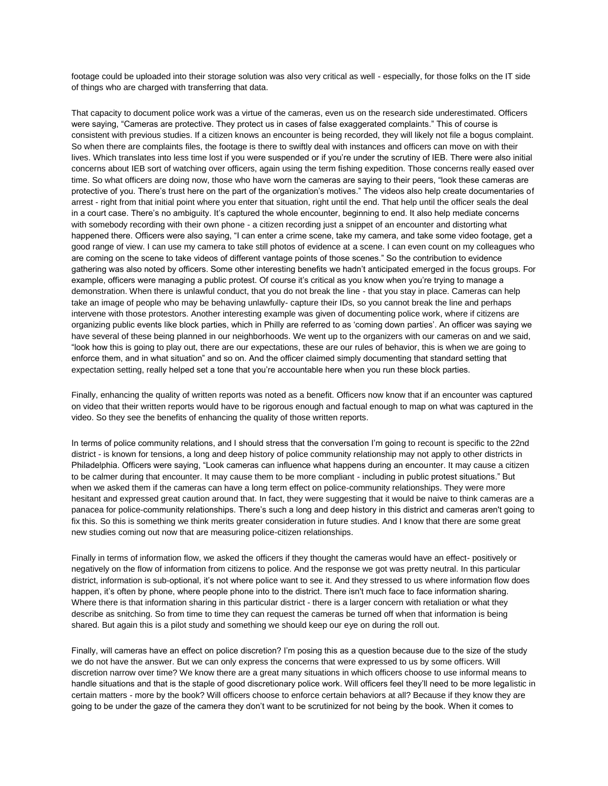footage could be uploaded into their storage solution was also very critical as well - especially, for those folks on the IT side of things who are charged with transferring that data.

That capacity to document police work was a virtue of the cameras, even us on the research side underestimated. Officers were saying, "Cameras are protective. They protect us in cases of false exaggerated complaints." This of course is consistent with previous studies. If a citizen knows an encounter is being recorded, they will likely not file a bogus complaint. So when there are complaints files, the footage is there to swiftly deal with instances and officers can move on with their lives. Which translates into less time lost if you were suspended or if you're under the scrutiny of IEB. There were also initial concerns about IEB sort of watching over officers, again using the term fishing expedition. Those concerns really eased over time. So what officers are doing now, those who have worn the cameras are saying to their peers, "look these cameras are protective of you. There's trust here on the part of the organization's motives." The videos also help create documentaries of arrest - right from that initial point where you enter that situation, right until the end. That help until the officer seals the deal in a court case. There's no ambiguity. It's captured the whole encounter, beginning to end. It also help mediate concerns with somebody recording with their own phone - a citizen recording just a snippet of an encounter and distorting what happened there. Officers were also saying, "I can enter a crime scene, take my camera, and take some video footage, get a good range of view. I can use my camera to take still photos of evidence at a scene. I can even count on my colleagues who are coming on the scene to take videos of different vantage points of those scenes." So the contribution to evidence gathering was also noted by officers. Some other interesting benefits we hadn't anticipated emerged in the focus groups. For example, officers were managing a public protest. Of course it's critical as you know when you're trying to manage a demonstration. When there is unlawful conduct, that you do not break the line - that you stay in place. Cameras can help take an image of people who may be behaving unlawfully- capture their IDs, so you cannot break the line and perhaps intervene with those protestors. Another interesting example was given of documenting police work, where if citizens are organizing public events like block parties, which in Philly are referred to as 'coming down parties'. An officer was saying we have several of these being planned in our neighborhoods. We went up to the organizers with our cameras on and we said, "look how this is going to play out, there are our expectations, these are our rules of behavior, this is when we are going to enforce them, and in what situation" and so on. And the officer claimed simply documenting that standard setting that expectation setting, really helped set a tone that you're accountable here when you run these block parties.

Finally, enhancing the quality of written reports was noted as a benefit. Officers now know that if an encounter was captured on video that their written reports would have to be rigorous enough and factual enough to map on what was captured in the video. So they see the benefits of enhancing the quality of those written reports.

In terms of police community relations, and I should stress that the conversation I'm going to recount is specific to the 22nd district - is known for tensions, a long and deep history of police community relationship may not apply to other districts in Philadelphia. Officers were saying, "Look cameras can influence what happens during an encounter. It may cause a citizen to be calmer during that encounter. It may cause them to be more compliant - including in public protest situations." But when we asked them if the cameras can have a long term effect on police-community relationships. They were more hesitant and expressed great caution around that. In fact, they were suggesting that it would be naive to think cameras are a panacea for police-community relationships. There's such a long and deep history in this district and cameras aren't going to fix this. So this is something we think merits greater consideration in future studies. And I know that there are some great new studies coming out now that are measuring police-citizen relationships.

Finally in terms of information flow, we asked the officers if they thought the cameras would have an effect- positively or negatively on the flow of information from citizens to police. And the response we got was pretty neutral. In this particular district, information is sub-optional, it's not where police want to see it. And they stressed to us where information flow does happen, it's often by phone, where people phone into to the district. There isn't much face to face information sharing. Where there is that information sharing in this particular district - there is a larger concern with retaliation or what they describe as snitching. So from time to time they can request the cameras be turned off when that information is being shared. But again this is a pilot study and something we should keep our eye on during the roll out.

Finally, will cameras have an effect on police discretion? I'm posing this as a question because due to the size of the study we do not have the answer. But we can only express the concerns that were expressed to us by some officers. Will discretion narrow over time? We know there are a great many situations in which officers choose to use informal means to handle situations and that is the staple of good discretionary police work. Will officers feel they'll need to be more legalistic in certain matters - more by the book? Will officers choose to enforce certain behaviors at all? Because if they know they are going to be under the gaze of the camera they don't want to be scrutinized for not being by the book. When it comes to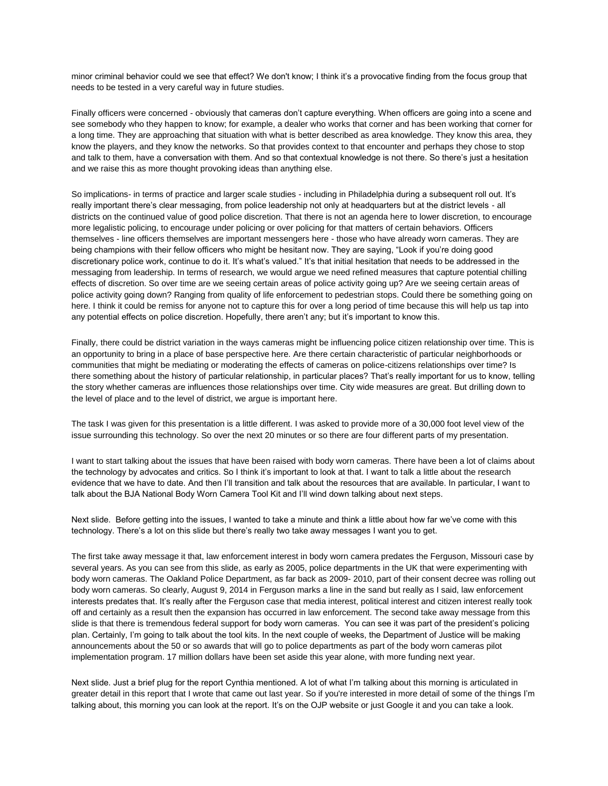minor criminal behavior could we see that effect? We don't know; I think it's a provocative finding from the focus group that needs to be tested in a very careful way in future studies.

Finally officers were concerned - obviously that cameras don't capture everything. When officers are going into a scene and see somebody who they happen to know; for example, a dealer who works that corner and has been working that corner for a long time. They are approaching that situation with what is better described as area knowledge. They know this area, they know the players, and they know the networks. So that provides context to that encounter and perhaps they chose to stop and talk to them, have a conversation with them. And so that contextual knowledge is not there. So there's just a hesitation and we raise this as more thought provoking ideas than anything else.

So implications- in terms of practice and larger scale studies - including in Philadelphia during a subsequent roll out. It's really important there's clear messaging, from police leadership not only at headquarters but at the district levels - all districts on the continued value of good police discretion. That there is not an agenda here to lower discretion, to encourage more legalistic policing, to encourage under policing or over policing for that matters of certain behaviors. Officers themselves - line officers themselves are important messengers here - those who have already worn cameras. They are being champions with their fellow officers who might be hesitant now. They are saying, "Look if you're doing good discretionary police work, continue to do it. It's what's valued." It's that initial hesitation that needs to be addressed in the messaging from leadership. In terms of research, we would argue we need refined measures that capture potential chilling effects of discretion. So over time are we seeing certain areas of police activity going up? Are we seeing certain areas of police activity going down? Ranging from quality of life enforcement to pedestrian stops. Could there be something going on here. I think it could be remiss for anyone not to capture this for over a long period of time because this will help us tap into any potential effects on police discretion. Hopefully, there aren't any; but it's important to know this.

Finally, there could be district variation in the ways cameras might be influencing police citizen relationship over time. This is an opportunity to bring in a place of base perspective here. Are there certain characteristic of particular neighborhoods or communities that might be mediating or moderating the effects of cameras on police-citizens relationships over time? Is there something about the history of particular relationship, in particular places? That's really important for us to know, telling the story whether cameras are influences those relationships over time. City wide measures are great. But drilling down to the level of place and to the level of district, we argue is important here.

The task I was given for this presentation is a little different. I was asked to provide more of a 30,000 foot level view of the issue surrounding this technology. So over the next 20 minutes or so there are four different parts of my presentation.

I want to start talking about the issues that have been raised with body worn cameras. There have been a lot of claims about the technology by advocates and critics. So I think it's important to look at that. I want to talk a little about the research evidence that we have to date. And then I'll transition and talk about the resources that are available. In particular, I want to talk about the BJA National Body Worn Camera Tool Kit and I'll wind down talking about next steps.

Next slide. Before getting into the issues, I wanted to take a minute and think a little about how far we've come with this technology. There's a lot on this slide but there's really two take away messages I want you to get.

The first take away message it that, law enforcement interest in body worn camera predates the Ferguson, Missouri case by several years. As you can see from this slide, as early as 2005, police departments in the UK that were experimenting with body worn cameras. The Oakland Police Department, as far back as 2009- 2010, part of their consent decree was rolling out body worn cameras. So clearly, August 9, 2014 in Ferguson marks a line in the sand but really as I said, law enforcement interests predates that. It's really after the Ferguson case that media interest, political interest and citizen interest really took off and certainly as a result then the expansion has occurred in law enforcement. The second take away message from this slide is that there is tremendous federal support for body worn cameras. You can see it was part of the president's policing plan. Certainly, I'm going to talk about the tool kits. In the next couple of weeks, the Department of Justice will be making announcements about the 50 or so awards that will go to police departments as part of the body worn cameras pilot implementation program. 17 million dollars have been set aside this year alone, with more funding next year.

Next slide. Just a brief plug for the report Cynthia mentioned. A lot of what I'm talking about this morning is articulated in greater detail in this report that I wrote that came out last year. So if you're interested in more detail of some of the things I'm talking about, this morning you can look at the report. It's on the OJP website or just Google it and you can take a look.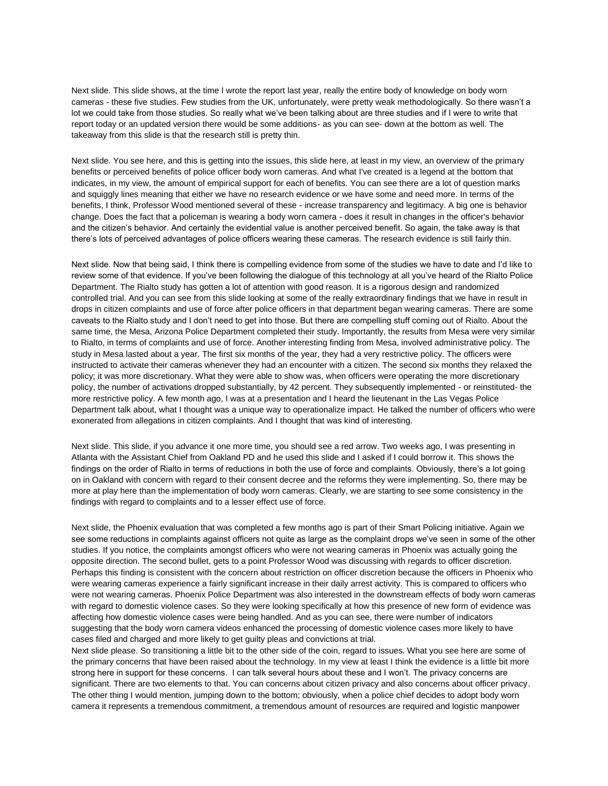Next slide. This slide shows, at the time I wrote the report last year, really the entire body of knowledge on body worn cameras - these five studies. Few studies from the UK, unfortunately, were pretty weak methodologically. So there wasn't a lot we could take from those studies. So really what we've been talking about are three studies and if I were to write that report today or an updated version there would be some additions- as you can see- down at the bottom as well. The takeaway from this slide is that the research still is pretty thin.

Next slide. You see here, and this is getting into the issues, this slide here, at least in my view, an overview of the primary benefits or perceived benefits of police officer body worn cameras. And what I've created is a legend at the bottom that indicates, in my view, the amount of empirical support for each of benefits. You can see there are a lot of question marks and squiggly lines meaning that either we have no research evidence or we have some and need more. In terms of the benefits, I think, Professor Wood mentioned several of these - increase transparency and legitimacy. A big one is behavior change. Does the fact that a policeman is wearing a body worn camera - does it result in changes in the officer's behavior and the citizen's behavior. And certainly the evidential value is another perceived benefit. So again, the take away is that there's lots of perceived advantages of police officers wearing these cameras. The research evidence is still fairly thin.

Next slide. Now that being said, I think there is compelling evidence from some of the studies we have to date and I'd like to review some of that evidence. If you've been following the dialogue of this technology at all you've heard of the Rialto Police Department. The Rialto study has gotten a lot of attention with good reason. It is a rigorous design and randomized controlled trial. And you can see from this slide looking at some of the really extraordinary findings that we have in result in drops in citizen complaints and use of force after police officers in that department began wearing cameras. There are some caveats to the Rialto study and I don't need to get into those. But there are compelling stuff coming out of Rialto. About the same time, the Mesa, Arizona Police Department completed their study. Importantly, the results from Mesa were very similar to Rialto, in terms of complaints and use of force. Another interesting finding from Mesa, involved administrative policy. The study in Mesa lasted about a year. The first six months of the year, they had a very restrictive policy. The officers were instructed to activate their cameras whenever they had an encounter with a citizen. The second six months they relaxed the policy; it was more discretionary. What they were able to show was, when officers were operating the more discretionary policy, the number of activations dropped substantially, by 42 percent. They subsequently implemented - or reinstituted- the more restrictive policy. A few month ago, I was at a presentation and I heard the lieutenant in the Las Vegas Police Department talk about, what I thought was a unique way to operationalize impact. He talked the number of officers who were exonerated from allegations in citizen complaints. And I thought that was kind of interesting.

Next slide. This slide, if you advance it one more time, you should see a red arrow. Two weeks ago, I was presenting in Atlanta with the Assistant Chief from Oakland PD and he used this slide and I asked if I could borrow it. This shows the findings on the order of Rialto in terms of reductions in both the use of force and complaints. Obviously, there's a lot going on in Oakland with concern with regard to their consent decree and the reforms they were implementing. So, there may be more at play here than the implementation of body worn cameras. Clearly, we are starting to see some consistency in the findings with regard to complaints and to a lesser effect use of force.

Next slide, the Phoenix evaluation that was completed a few months ago is part of their Smart Policing initiative. Again we see some reductions in complaints against officers not quite as large as the complaint drops we've seen in some of the other studies. If you notice, the complaints amongst officers who were not wearing cameras in Phoenix was actually going the opposite direction. The second bullet, gets to a point Professor Wood was discussing with regards to officer discretion. Perhaps this finding is consistent with the concern about restriction on officer discretion because the officers in Phoenix who were wearing cameras experience a fairly significant increase in their daily arrest activity. This is compared to officers who were not wearing cameras. Phoenix Police Department was also interested in the downstream effects of body worn cameras with regard to domestic violence cases. So they were looking specifically at how this presence of new form of evidence was affecting how domestic violence cases were being handled. And as you can see, there were number of indicators suggesting that the body worn camera videos enhanced the processing of domestic violence cases more likely to have cases filed and charged and more likely to get guilty pleas and convictions at trial.

Next slide please. So transitioning a little bit to the other side of the coin, regard to issues. What you see here are some of the primary concerns that have been raised about the technology. In my view at least I think the evidence is a little bit more strong here in support for these concerns. I can talk several hours about these and I won't. The privacy concerns are significant. There are two elements to that. You can concerns about citizen privacy and also concerns about officer privacy. The other thing I would mention, jumping down to the bottom; obviously, when a police chief decides to adopt body worn camera it represents a tremendous commitment, a tremendous amount of resources are required and logistic manpower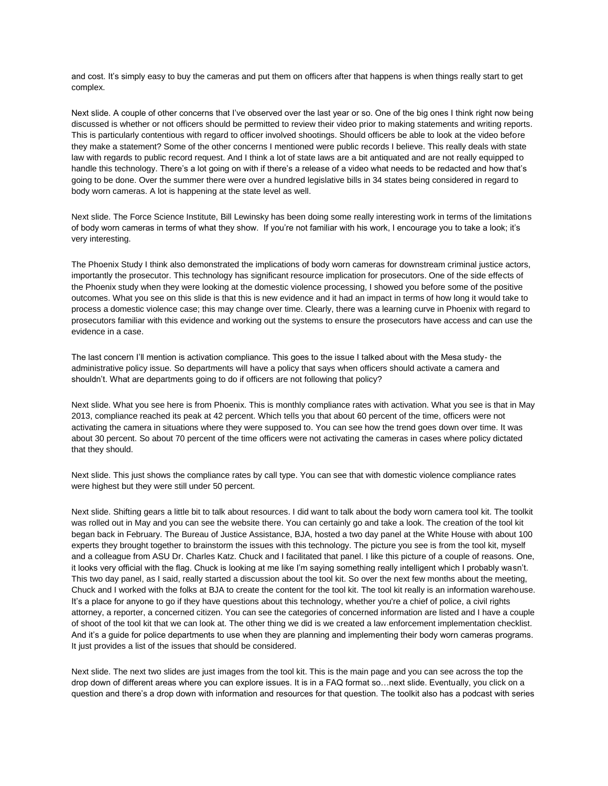and cost. It's simply easy to buy the cameras and put them on officers after that happens is when things really start to get complex.

Next slide. A couple of other concerns that I've observed over the last year or so. One of the big ones I think right now being discussed is whether or not officers should be permitted to review their video prior to making statements and writing reports. This is particularly contentious with regard to officer involved shootings. Should officers be able to look at the video before they make a statement? Some of the other concerns I mentioned were public records I believe. This really deals with state law with regards to public record request. And I think a lot of state laws are a bit antiquated and are not really equipped to handle this technology. There's a lot going on with if there's a release of a video what needs to be redacted and how that's going to be done. Over the summer there were over a hundred legislative bills in 34 states being considered in regard to body worn cameras. A lot is happening at the state level as well.

Next slide. The Force Science Institute, Bill Lewinsky has been doing some really interesting work in terms of the limitations of body worn cameras in terms of what they show. If you're not familiar with his work, I encourage you to take a look; it's very interesting.

The Phoenix Study I think also demonstrated the implications of body worn cameras for downstream criminal justice actors, importantly the prosecutor. This technology has significant resource implication for prosecutors. One of the side effects of the Phoenix study when they were looking at the domestic violence processing, I showed you before some of the positive outcomes. What you see on this slide is that this is new evidence and it had an impact in terms of how long it would take to process a domestic violence case; this may change over time. Clearly, there was a learning curve in Phoenix with regard to prosecutors familiar with this evidence and working out the systems to ensure the prosecutors have access and can use the evidence in a case.

The last concern I'll mention is activation compliance. This goes to the issue I talked about with the Mesa study- the administrative policy issue. So departments will have a policy that says when officers should activate a camera and shouldn't. What are departments going to do if officers are not following that policy?

Next slide. What you see here is from Phoenix. This is monthly compliance rates with activation. What you see is that in May 2013, compliance reached its peak at 42 percent. Which tells you that about 60 percent of the time, officers were not activating the camera in situations where they were supposed to. You can see how the trend goes down over time. It was about 30 percent. So about 70 percent of the time officers were not activating the cameras in cases where policy dictated that they should.

Next slide. This just shows the compliance rates by call type. You can see that with domestic violence compliance rates were highest but they were still under 50 percent.

Next slide. Shifting gears a little bit to talk about resources. I did want to talk about the body worn camera tool kit. The toolkit was rolled out in May and you can see the website there. You can certainly go and take a look. The creation of the tool kit began back in February. The Bureau of Justice Assistance, BJA, hosted a two day panel at the White House with about 100 experts they brought together to brainstorm the issues with this technology. The picture you see is from the tool kit, myself and a colleague from ASU Dr. Charles Katz. Chuck and I facilitated that panel. I like this picture of a couple of reasons. One, it looks very official with the flag. Chuck is looking at me like I'm saying something really intelligent which I probably wasn't. This two day panel, as I said, really started a discussion about the tool kit. So over the next few months about the meeting, Chuck and I worked with the folks at BJA to create the content for the tool kit. The tool kit really is an information warehouse. It's a place for anyone to go if they have questions about this technology, whether you're a chief of police, a civil rights attorney, a reporter, a concerned citizen. You can see the categories of concerned information are listed and I have a couple of shoot of the tool kit that we can look at. The other thing we did is we created a law enforcement implementation checklist. And it's a guide for police departments to use when they are planning and implementing their body worn cameras programs. It just provides a list of the issues that should be considered.

Next slide. The next two slides are just images from the tool kit. This is the main page and you can see across the top the drop down of different areas where you can explore issues. It is in a FAQ format so…next slide. Eventually, you click on a question and there's a drop down with information and resources for that question. The toolkit also has a podcast with series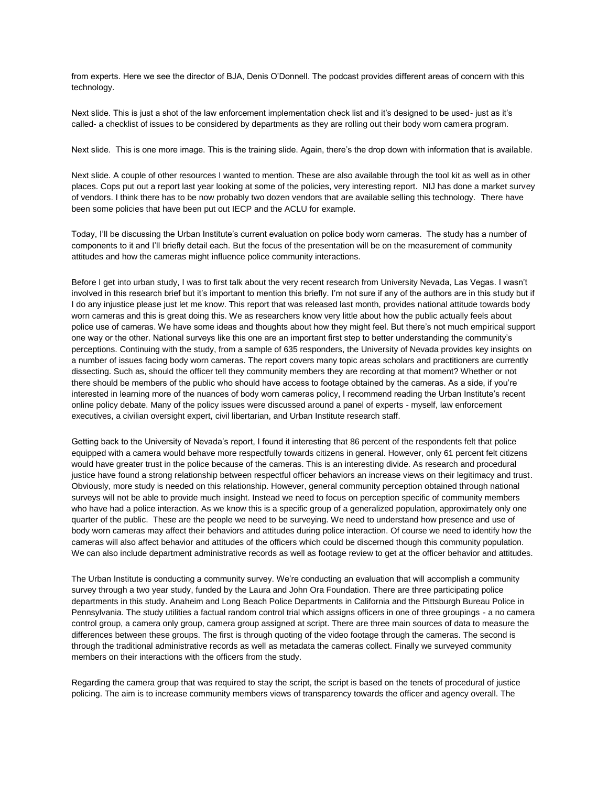from experts. Here we see the director of BJA, Denis O'Donnell. The podcast provides different areas of concern with this technology.

Next slide. This is just a shot of the law enforcement implementation check list and it's designed to be used- just as it's called- a checklist of issues to be considered by departments as they are rolling out their body worn camera program.

Next slide. This is one more image. This is the training slide. Again, there's the drop down with information that is available.

Next slide. A couple of other resources I wanted to mention. These are also available through the tool kit as well as in other places. Cops put out a report last year looking at some of the policies, very interesting report. NIJ has done a market survey of vendors. I think there has to be now probably two dozen vendors that are available selling this technology. There have been some policies that have been put out IECP and the ACLU for example.

Today, I'll be discussing the Urban Institute's current evaluation on police body worn cameras. The study has a number of components to it and I'll briefly detail each. But the focus of the presentation will be on the measurement of community attitudes and how the cameras might influence police community interactions.

Before I get into urban study, I was to first talk about the very recent research from University Nevada, Las Vegas. I wasn't involved in this research brief but it's important to mention this briefly. I'm not sure if any of the authors are in this study but if I do any injustice please just let me know. This report that was released last month, provides national attitude towards body worn cameras and this is great doing this. We as researchers know very little about how the public actually feels about police use of cameras. We have some ideas and thoughts about how they might feel. But there's not much empirical support one way or the other. National surveys like this one are an important first step to better understanding the community's perceptions. Continuing with the study, from a sample of 635 responders, the University of Nevada provides key insights on a number of issues facing body worn cameras. The report covers many topic areas scholars and practitioners are currently dissecting. Such as, should the officer tell they community members they are recording at that moment? Whether or not there should be members of the public who should have access to footage obtained by the cameras. As a side, if you're interested in learning more of the nuances of body worn cameras policy, I recommend reading the Urban Institute's recent online policy debate. Many of the policy issues were discussed around a panel of experts - myself, law enforcement executives, a civilian oversight expert, civil libertarian, and Urban Institute research staff.

Getting back to the University of Nevada's report, I found it interesting that 86 percent of the respondents felt that police equipped with a camera would behave more respectfully towards citizens in general. However, only 61 percent felt citizens would have greater trust in the police because of the cameras. This is an interesting divide. As research and procedural justice have found a strong relationship between respectful officer behaviors an increase views on their legitimacy and trust. Obviously, more study is needed on this relationship. However, general community perception obtained through national surveys will not be able to provide much insight. Instead we need to focus on perception specific of community members who have had a police interaction. As we know this is a specific group of a generalized population, approximately only one quarter of the public. These are the people we need to be surveying. We need to understand how presence and use of body worn cameras may affect their behaviors and attitudes during police interaction. Of course we need to identify how the cameras will also affect behavior and attitudes of the officers which could be discerned though this community population. We can also include department administrative records as well as footage review to get at the officer behavior and attitudes.

The Urban Institute is conducting a community survey. We're conducting an evaluation that will accomplish a community survey through a two year study, funded by the Laura and John Ora Foundation. There are three participating police departments in this study. Anaheim and Long Beach Police Departments in California and the Pittsburgh Bureau Police in Pennsylvania. The study utilities a factual random control trial which assigns officers in one of three groupings - a no camera control group, a camera only group, camera group assigned at script. There are three main sources of data to measure the differences between these groups. The first is through quoting of the video footage through the cameras. The second is through the traditional administrative records as well as metadata the cameras collect. Finally we surveyed community members on their interactions with the officers from the study.

Regarding the camera group that was required to stay the script, the script is based on the tenets of procedural of justice policing. The aim is to increase community members views of transparency towards the officer and agency overall. The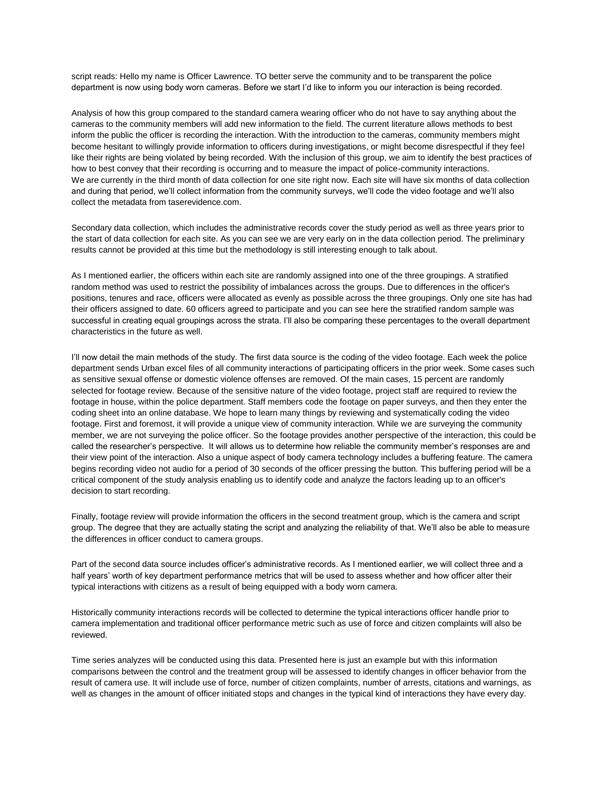script reads: Hello my name is Officer Lawrence. TO better serve the community and to be transparent the police department is now using body worn cameras. Before we start I'd like to inform you our interaction is being recorded.

Analysis of how this group compared to the standard camera wearing officer who do not have to say anything about the cameras to the community members will add new information to the field. The current literature allows methods to best inform the public the officer is recording the interaction. With the introduction to the cameras, community members might become hesitant to willingly provide information to officers during investigations, or might become disrespectful if they feel like their rights are being violated by being recorded. With the inclusion of this group, we aim to identify the best practices of how to best convey that their recording is occurring and to measure the impact of police-community interactions. We are currently in the third month of data collection for one site right now. Each site will have six months of data collection and during that period, we'll collect information from the community surveys, we'll code the video footage and we'll also collect the metadata from taserevidence.com.

Secondary data collection, which includes the administrative records cover the study period as well as three years prior to the start of data collection for each site. As you can see we are very early on in the data collection period. The preliminary results cannot be provided at this time but the methodology is still interesting enough to talk about.

As I mentioned earlier, the officers within each site are randomly assigned into one of the three groupings. A stratified random method was used to restrict the possibility of imbalances across the groups. Due to differences in the officer's positions, tenures and race, officers were allocated as evenly as possible across the three groupings. Only one site has had their officers assigned to date. 60 officers agreed to participate and you can see here the stratified random sample was successful in creating equal groupings across the strata. I'll also be comparing these percentages to the overall department characteristics in the future as well.

I'll now detail the main methods of the study. The first data source is the coding of the video footage. Each week the police department sends Urban excel files of all community interactions of participating officers in the prior week. Some cases such as sensitive sexual offense or domestic violence offenses are removed. Of the main cases, 15 percent are randomly selected for footage review. Because of the sensitive nature of the video footage, project staff are required to review the footage in house, within the police department. Staff members code the footage on paper surveys, and then they enter the coding sheet into an online database. We hope to learn many things by reviewing and systematically coding the video footage. First and foremost, it will provide a unique view of community interaction. While we are surveying the community member, we are not surveying the police officer. So the footage provides another perspective of the interaction, this could be called the researcher's perspective. It will allows us to determine how reliable the community member's responses are and their view point of the interaction. Also a unique aspect of body camera technology includes a buffering feature. The camera begins recording video not audio for a period of 30 seconds of the officer pressing the button. This buffering period will be a critical component of the study analysis enabling us to identify code and analyze the factors leading up to an officer's decision to start recording.

Finally, footage review will provide information the officers in the second treatment group, which is the camera and script group. The degree that they are actually stating the script and analyzing the reliability of that. We'll also be able to measure the differences in officer conduct to camera groups.

Part of the second data source includes officer's administrative records. As I mentioned earlier, we will collect three and a half years' worth of key department performance metrics that will be used to assess whether and how officer alter their typical interactions with citizens as a result of being equipped with a body worn camera.

Historically community interactions records will be collected to determine the typical interactions officer handle prior to camera implementation and traditional officer performance metric such as use of force and citizen complaints will also be reviewed.

Time series analyzes will be conducted using this data. Presented here is just an example but with this information comparisons between the control and the treatment group will be assessed to identify changes in officer behavior from the result of camera use. It will include use of force, number of citizen complaints, number of arrests, citations and warnings, as well as changes in the amount of officer initiated stops and changes in the typical kind of interactions they have every day.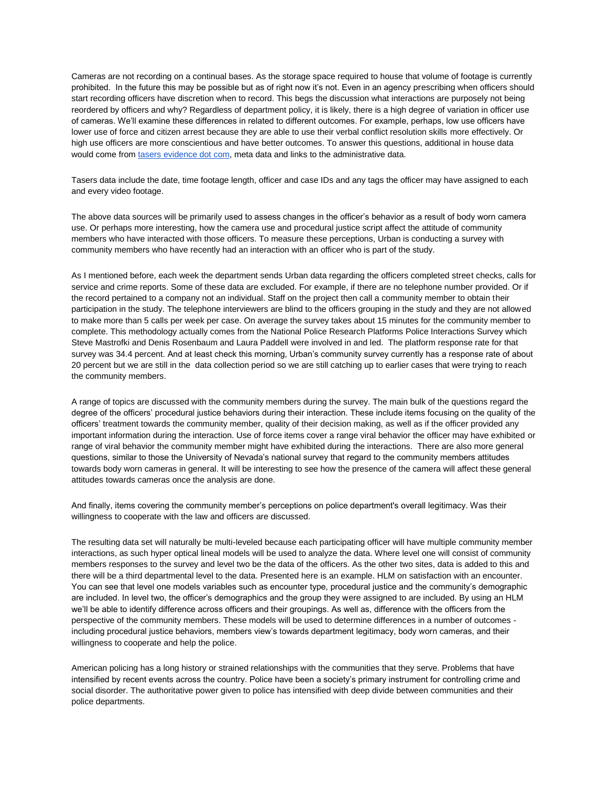Cameras are not recording on a continual bases. As the storage space required to house that volume of footage is currently prohibited. In the future this may be possible but as of right now it's not. Even in an agency prescribing when officers should start recording officers have discretion when to record. This begs the discussion what interactions are purposely not being reordered by officers and why? Regardless of department policy, it is likely, there is a high degree of variation in officer use of cameras. We'll examine these differences in related to different outcomes. For example, perhaps, low use officers have lower use of force and citizen arrest because they are able to use their verbal conflict resolution skills more effectively. Or high use officers are more conscientious and have better outcomes. To answer this questions, additional in house data would come fro[m](http://tasersevidence.com/) tasers [evidence dot com,](http://tasersevidence.com/) meta data and links to the administrative data.

Tasers data include the date, time footage length, officer and case IDs and any tags the officer may have assigned to each and every video footage.

The above data sources will be primarily used to assess changes in the officer's behavior as a result of body worn camera use. Or perhaps more interesting, how the camera use and procedural justice script affect the attitude of community members who have interacted with those officers. To measure these perceptions, Urban is conducting a survey with community members who have recently had an interaction with an officer who is part of the study.

As I mentioned before, each week the department sends Urban data regarding the officers completed street checks, calls for service and crime reports. Some of these data are excluded. For example, if there are no telephone number provided. Or if the record pertained to a company not an individual. Staff on the project then call a community member to obtain their participation in the study. The telephone interviewers are blind to the officers grouping in the study and they are not allowed to make more than 5 calls per week per case. On average the survey takes about 15 minutes for the community member to complete. This methodology actually comes from the National Police Research Platforms Police Interactions Survey which Steve Mastrofki and Denis Rosenbaum and Laura Paddell were involved in and led. The platform response rate for that survey was 34.4 percent. And at least check this morning, Urban's community survey currently has a response rate of about 20 percent but we are still in the data collection period so we are still catching up to earlier cases that were trying to reach the community members.

A range of topics are discussed with the community members during the survey. The main bulk of the questions regard the degree of the officers' procedural justice behaviors during their interaction. These include items focusing on the quality of the officers' treatment towards the community member, quality of their decision making, as well as if the officer provided any important information during the interaction. Use of force items cover a range viral behavior the officer may have exhibited or range of viral behavior the community member might have exhibited during the interactions. There are also more general questions, similar to those the University of Nevada's national survey that regard to the community members attitudes towards body worn cameras in general. It will be interesting to see how the presence of the camera will affect these general attitudes towards cameras once the analysis are done.

And finally, items covering the community member's perceptions on police department's overall legitimacy. Was their willingness to cooperate with the law and officers are discussed.

The resulting data set will naturally be multi-leveled because each participating officer will have multiple community member interactions, as such hyper optical lineal models will be used to analyze the data. Where level one will consist of community members responses to the survey and level two be the data of the officers. As the other two sites, data is added to this and there will be a third departmental level to the data. Presented here is an example. HLM on satisfaction with an encounter. You can see that level one models variables such as encounter type, procedural justice and the community's demographic are included. In level two, the officer's demographics and the group they were assigned to are included. By using an HLM we'll be able to identify difference across officers and their groupings. As well as, difference with the officers from the perspective of the community members. These models will be used to determine differences in a number of outcomes including procedural justice behaviors, members view's towards department legitimacy, body worn cameras, and their willingness to cooperate and help the police.

American policing has a long history or strained relationships with the communities that they serve. Problems that have intensified by recent events across the country. Police have been a society's primary instrument for controlling crime and social disorder. The authoritative power given to police has intensified with deep divide between communities and their police departments.